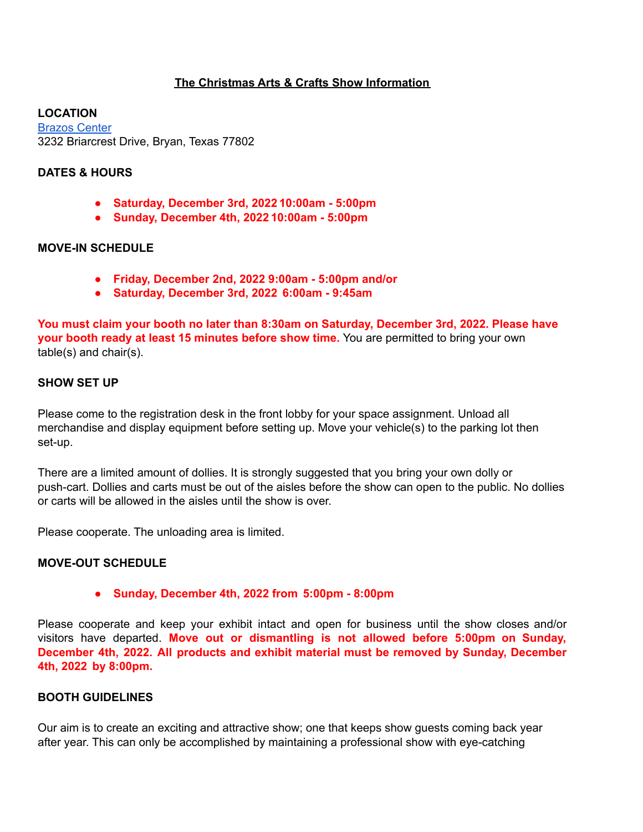# **The Christmas Arts & Crafts Show Information**

**LOCATION** [Brazos](http://www.thebrazoscenter.com) Center 3232 Briarcrest Drive, Bryan, Texas 77802

## **DATES & HOURS**

- **● Saturday, December 3rd, 2022 10:00am - 5:00pm**
- **● Sunday, December 4th, 2022 10:00am - 5:00pm**

#### **MOVE-IN SCHEDULE**

- **● Friday, December 2nd, 2022 9:00am - 5:00pm and/or**
- **● Saturday, December 3rd, 2022 6:00am - 9:45am**

**You must claim your booth no later than 8:30am on Saturday, December 3rd, 2022. Please have your booth ready at least 15 minutes before show time.** You are permitted to bring your own table(s) and chair(s).

## **SHOW SET UP**

Please come to the registration desk in the front lobby for your space assignment. Unload all merchandise and display equipment before setting up. Move your vehicle(s) to the parking lot then set-up.

There are a limited amount of dollies. It is strongly suggested that you bring your own dolly or push-cart. Dollies and carts must be out of the aisles before the show can open to the public. No dollies or carts will be allowed in the aisles until the show is over.

Please cooperate. The unloading area is limited.

### **MOVE-OUT SCHEDULE**

### **● Sunday, December 4th, 2022 from 5:00pm - 8:00pm**

Please cooperate and keep your exhibit intact and open for business until the show closes and/or visitors have departed. **Move out or dismantling is not allowed before 5:00pm on Sunday, December 4th, 2022. All products and exhibit material must be removed by Sunday, December 4th, 2022 by 8:00pm.**

### **BOOTH GUIDELINES**

Our aim is to create an exciting and attractive show; one that keeps show guests coming back year after year. This can only be accomplished by maintaining a professional show with eye-catching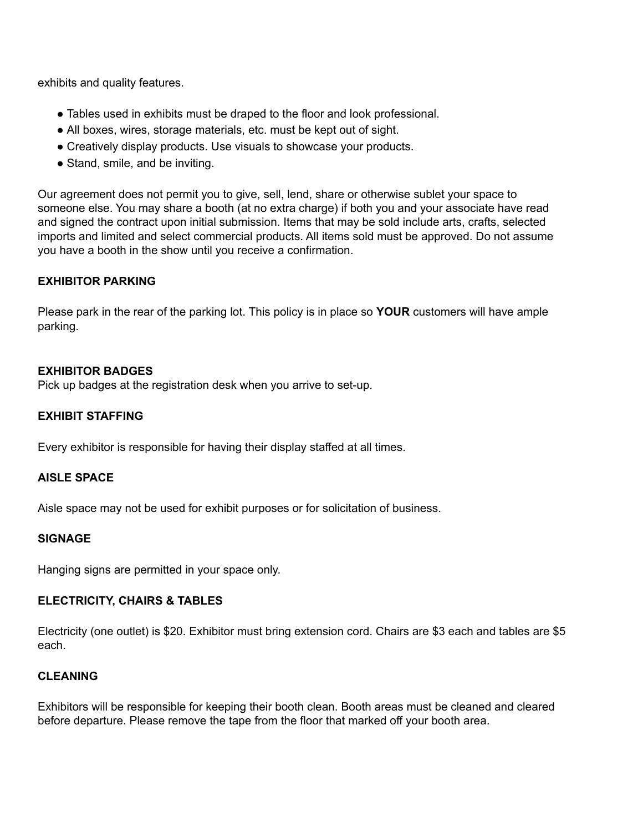exhibits and quality features.

- **●** Tables used in exhibits must be draped to the floor and look professional.
- **●** All boxes, wires, storage materials, etc. must be kept out of sight.
- Creatively display products. Use visuals to showcase your products.
- Stand, smile, and be inviting.

Our agreement does not permit you to give, sell, lend, share or otherwise sublet your space to someone else. You may share a booth (at no extra charge) if both you and your associate have read and signed the contract upon initial submission. Items that may be sold include arts, crafts, selected imports and limited and select commercial products. All items sold must be approved. Do not assume you have a booth in the show until you receive a confirmation.

# **EXHIBITOR PARKING**

Please park in the rear of the parking lot. This policy is in place so **YOUR** customers will have ample parking.

## **EXHIBITOR BADGES**

Pick up badges at the registration desk when you arrive to set-up.

## **EXHIBIT STAFFING**

Every exhibitor is responsible for having their display staffed at all times.

## **AISLE SPACE**

Aisle space may not be used for exhibit purposes or for solicitation of business.

## **SIGNAGE**

Hanging signs are permitted in your space only.

### **ELECTRICITY, CHAIRS & TABLES**

Electricity (one outlet) is \$20. Exhibitor must bring extension cord. Chairs are \$3 each and tables are \$5 each.

## **CLEANING**

Exhibitors will be responsible for keeping their booth clean. Booth areas must be cleaned and cleared before departure. Please remove the tape from the floor that marked off your booth area.